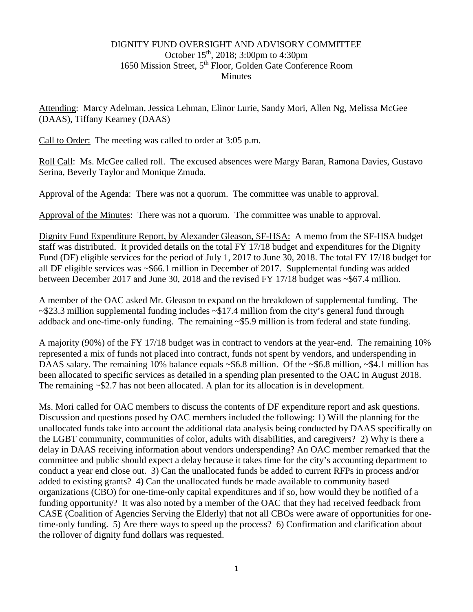## DIGNITY FUND OVERSIGHT AND ADVISORY COMMITTEE October 15th, 2018; 3:00pm to 4:30pm 1650 Mission Street, 5th Floor, Golden Gate Conference Room **Minutes**

Attending: Marcy Adelman, Jessica Lehman, Elinor Lurie, Sandy Mori, Allen Ng, Melissa McGee (DAAS), Tiffany Kearney (DAAS)

Call to Order: The meeting was called to order at 3:05 p.m.

Roll Call: Ms. McGee called roll. The excused absences were Margy Baran, Ramona Davies, Gustavo Serina, Beverly Taylor and Monique Zmuda.

Approval of the Agenda: There was not a quorum. The committee was unable to approval.

Approval of the Minutes: There was not a quorum. The committee was unable to approval.

Dignity Fund Expenditure Report, by Alexander Gleason, SF-HSA: A memo from the SF-HSA budget staff was distributed. It provided details on the total FY 17/18 budget and expenditures for the Dignity Fund (DF) eligible services for the period of July 1, 2017 to June 30, 2018. The total FY 17/18 budget for all DF eligible services was ~\$66.1 million in December of 2017. Supplemental funding was added between December 2017 and June 30, 2018 and the revised FY 17/18 budget was ~\$67.4 million.

A member of the OAC asked Mr. Gleason to expand on the breakdown of supplemental funding. The  $\sim$ \$23.3 million supplemental funding includes  $\sim$ \$17.4 million from the city's general fund through addback and one-time-only funding. The remaining ~\$5.9 million is from federal and state funding.

A majority (90%) of the FY 17/18 budget was in contract to vendors at the year-end. The remaining 10% represented a mix of funds not placed into contract, funds not spent by vendors, and underspending in DAAS salary. The remaining 10% balance equals  $\sim$  \$6.8 million. Of the  $\sim$  \$6.8 million,  $\sim$  \$4.1 million has been allocated to specific services as detailed in a spending plan presented to the OAC in August 2018. The remaining  $\sim$ \$2.7 has not been allocated. A plan for its allocation is in development.

Ms. Mori called for OAC members to discuss the contents of DF expenditure report and ask questions. Discussion and questions posed by OAC members included the following: 1) Will the planning for the unallocated funds take into account the additional data analysis being conducted by DAAS specifically on the LGBT community, communities of color, adults with disabilities, and caregivers? 2) Why is there a delay in DAAS receiving information about vendors underspending? An OAC member remarked that the committee and public should expect a delay because it takes time for the city's accounting department to conduct a year end close out. 3) Can the unallocated funds be added to current RFPs in process and/or added to existing grants? 4) Can the unallocated funds be made available to community based organizations (CBO) for one-time-only capital expenditures and if so, how would they be notified of a funding opportunity? It was also noted by a member of the OAC that they had received feedback from CASE (Coalition of Agencies Serving the Elderly) that not all CBOs were aware of opportunities for onetime-only funding. 5) Are there ways to speed up the process? 6) Confirmation and clarification about the rollover of dignity fund dollars was requested.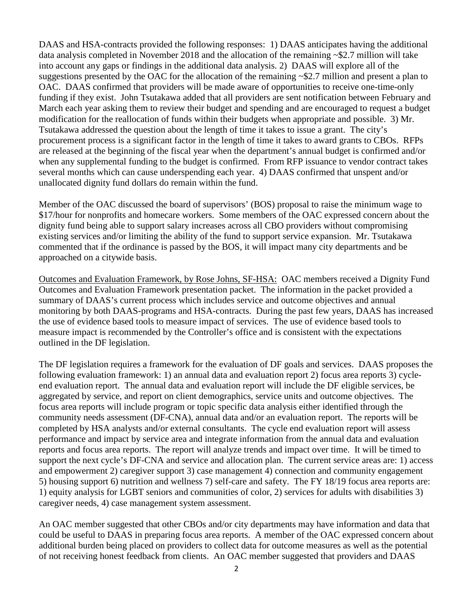DAAS and HSA-contracts provided the following responses: 1) DAAS anticipates having the additional data analysis completed in November 2018 and the allocation of the remaining ~\$2.7 million will take into account any gaps or findings in the additional data analysis. 2) DAAS will explore all of the suggestions presented by the OAC for the allocation of the remaining ~\$2.7 million and present a plan to OAC. DAAS confirmed that providers will be made aware of opportunities to receive one-time-only funding if they exist. John Tsutakawa added that all providers are sent notification between February and March each year asking them to review their budget and spending and are encouraged to request a budget modification for the reallocation of funds within their budgets when appropriate and possible. 3) Mr. Tsutakawa addressed the question about the length of time it takes to issue a grant. The city's procurement process is a significant factor in the length of time it takes to award grants to CBOs. RFPs are released at the beginning of the fiscal year when the department's annual budget is confirmed and/or when any supplemental funding to the budget is confirmed. From RFP issuance to vendor contract takes several months which can cause underspending each year. 4) DAAS confirmed that unspent and/or unallocated dignity fund dollars do remain within the fund.

Member of the OAC discussed the board of supervisors' (BOS) proposal to raise the minimum wage to \$17/hour for nonprofits and homecare workers. Some members of the OAC expressed concern about the dignity fund being able to support salary increases across all CBO providers without compromising existing services and/or limiting the ability of the fund to support service expansion. Mr. Tsutakawa commented that if the ordinance is passed by the BOS, it will impact many city departments and be approached on a citywide basis.

Outcomes and Evaluation Framework, by Rose Johns, SF-HSA: OAC members received a Dignity Fund Outcomes and Evaluation Framework presentation packet. The information in the packet provided a summary of DAAS's current process which includes service and outcome objectives and annual monitoring by both DAAS-programs and HSA-contracts. During the past few years, DAAS has increased the use of evidence based tools to measure impact of services. The use of evidence based tools to measure impact is recommended by the Controller's office and is consistent with the expectations outlined in the DF legislation.

The DF legislation requires a framework for the evaluation of DF goals and services. DAAS proposes the following evaluation framework: 1) an annual data and evaluation report 2) focus area reports 3) cycleend evaluation report. The annual data and evaluation report will include the DF eligible services, be aggregated by service, and report on client demographics, service units and outcome objectives. The focus area reports will include program or topic specific data analysis either identified through the community needs assessment (DF-CNA), annual data and/or an evaluation report. The reports will be completed by HSA analysts and/or external consultants. The cycle end evaluation report will assess performance and impact by service area and integrate information from the annual data and evaluation reports and focus area reports. The report will analyze trends and impact over time. It will be timed to support the next cycle's DF-CNA and service and allocation plan. The current service areas are: 1) access and empowerment 2) caregiver support 3) case management 4) connection and community engagement 5) housing support 6) nutrition and wellness 7) self-care and safety. The FY 18/19 focus area reports are: 1) equity analysis for LGBT seniors and communities of color, 2) services for adults with disabilities 3) caregiver needs, 4) case management system assessment.

An OAC member suggested that other CBOs and/or city departments may have information and data that could be useful to DAAS in preparing focus area reports. A member of the OAC expressed concern about additional burden being placed on providers to collect data for outcome measures as well as the potential of not receiving honest feedback from clients. An OAC member suggested that providers and DAAS